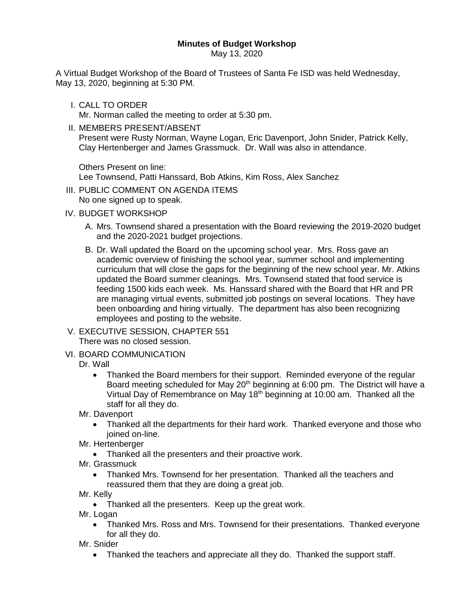## **Minutes of Budget Workshop**

May 13, 2020

A Virtual Budget Workshop of the Board of Trustees of Santa Fe ISD was held Wednesday, May 13, 2020, beginning at 5:30 PM.

I. CALL TO ORDER

Mr. Norman called the meeting to order at 5:30 pm.

II. MEMBERS PRESENT/ABSENT Present were Rusty Norman, Wayne Logan, Eric Davenport, John Snider, Patrick Kelly, Clay Hertenberger and James Grassmuck. Dr. Wall was also in attendance.

Others Present on line: Lee Townsend, Patti Hanssard, Bob Atkins, Kim Ross, Alex Sanchez

- III. PUBLIC COMMENT ON AGENDA ITEMS
- No one signed up to speak.
- IV. BUDGET WORKSHOP
	- A. Mrs. Townsend shared a presentation with the Board reviewing the 2019-2020 budget and the 2020-2021 budget projections.
	- B. Dr. Wall updated the Board on the upcoming school year. Mrs. Ross gave an academic overview of finishing the school year, summer school and implementing curriculum that will close the gaps for the beginning of the new school year. Mr. Atkins updated the Board summer cleanings. Mrs. Townsend stated that food service is feeding 1500 kids each week. Ms. Hanssard shared with the Board that HR and PR are managing virtual events, submitted job postings on several locations. They have been onboarding and hiring virtually. The department has also been recognizing employees and posting to the website.
- V. EXECUTIVE SESSION, CHAPTER 551 There was no closed session.
- VI. BOARD COMMUNICATION

## Dr. Wall

- Thanked the Board members for their support. Reminded everyone of the regular Board meeting scheduled for May  $20<sup>th</sup>$  beginning at 6:00 pm. The District will have a Virtual Day of Remembrance on May  $18<sup>th</sup>$  beginning at 10:00 am. Thanked all the staff for all they do.
- Mr. Davenport
	- Thanked all the departments for their hard work. Thanked everyone and those who joined on-line.
- Mr. Hertenberger
	- Thanked all the presenters and their proactive work.
- Mr. Grassmuck
	- Thanked Mrs. Townsend for her presentation. Thanked all the teachers and reassured them that they are doing a great job.
- Mr. Kelly
	- Thanked all the presenters. Keep up the great work.
- Mr. Logan
	- Thanked Mrs. Ross and Mrs. Townsend for their presentations. Thanked everyone for all they do.
- Mr. Snider
	- Thanked the teachers and appreciate all they do. Thanked the support staff.